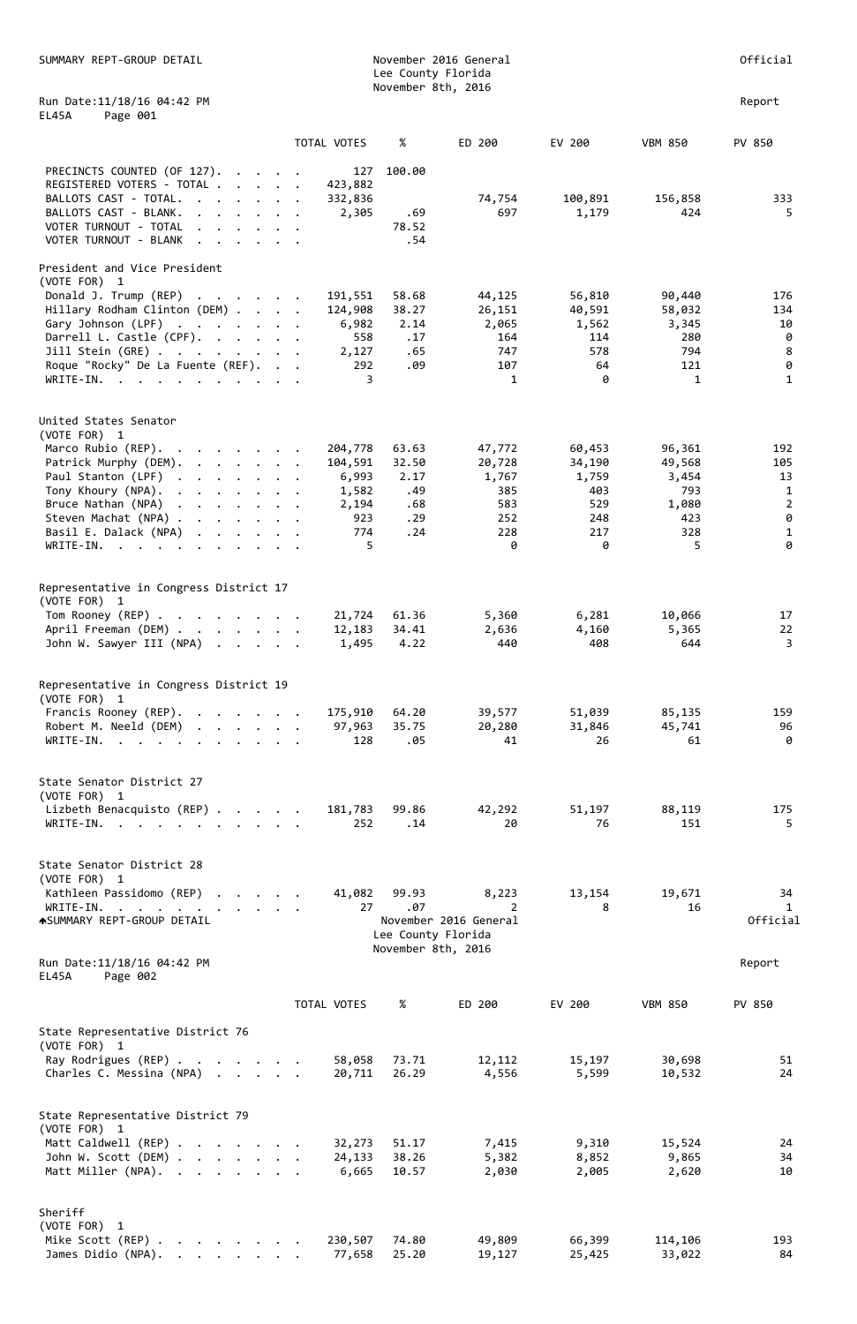| SUMMARY REPT-GROUP DETAIL                                                                                                                                                               |             | Lee County Florida<br>November 8th, 2016 | November 2016 General |         |                | Official       |
|-----------------------------------------------------------------------------------------------------------------------------------------------------------------------------------------|-------------|------------------------------------------|-----------------------|---------|----------------|----------------|
| Run Date: 11/18/16 04:42 PM<br>EL45A<br>Page 001                                                                                                                                        |             |                                          |                       |         |                | Report         |
|                                                                                                                                                                                         | TOTAL VOTES | %                                        | ED 200                | EV 200  | <b>VBM 850</b> | PV 850         |
| PRECINCTS COUNTED (OF 127).                                                                                                                                                             | 127         | 100.00                                   |                       |         |                |                |
| REGISTERED VOTERS - TOTAL                                                                                                                                                               | 423,882     |                                          |                       |         |                |                |
| BALLOTS CAST - TOTAL.                                                                                                                                                                   | 332,836     |                                          | 74,754                | 100,891 | 156,858        | 333            |
| BALLOTS CAST - BLANK.                                                                                                                                                                   | 2,305       | .69                                      | 697                   | 1,179   | 424            | 5.             |
| VOTER TURNOUT - TOTAL<br>VOTER TURNOUT - BLANK                                                                                                                                          |             | 78.52<br>.54                             |                       |         |                |                |
| President and Vice President<br>(VOTE FOR) 1                                                                                                                                            |             |                                          |                       |         |                |                |
| Donald J. Trump $(REP)$                                                                                                                                                                 | 191,551     | 58.68                                    | 44,125                | 56,810  | 90,440         | 176            |
| Hillary Rodham Clinton (DEM)                                                                                                                                                            | 124,908     | 38.27                                    | 26,151                | 40,591  | 58,032         | 134            |
| Gary Johnson (LPF)                                                                                                                                                                      | 6,982       | 2.14                                     | 2,065                 | 1,562   | 3,345          | 10             |
| Darrell L. Castle (CPF).                                                                                                                                                                | 558         | .17                                      | 164                   | 114     | 280            | 0              |
| Jill Stein (GRE) $\cdots$ $\cdots$ $\cdots$                                                                                                                                             | 2,127       | .65                                      | 747                   | 578     | 794            | 8              |
| Roque "Rocky" De La Fuente (REF).                                                                                                                                                       | 292         | .09                                      | 107                   | 64      | 121            | 0              |
| WRITE-IN.                                                                                                                                                                               | 3           |                                          | 1                     | 0       | 1              | $\mathbf{1}$   |
| United States Senator                                                                                                                                                                   |             |                                          |                       |         |                |                |
| (VOTE FOR) 1<br>Marco Rubio (REP).                                                                                                                                                      | 204,778     | 63.63                                    | 47,772                | 60,453  | 96,361         | 192            |
| Patrick Murphy (DEM).                                                                                                                                                                   | 104,591     | 32.50                                    | 20,728                | 34,190  | 49,568         | 105            |
| Paul Stanton (LPF)                                                                                                                                                                      | 6,993       | 2.17                                     | 1,767                 | 1,759   | 3,454          | 13             |
| Tony Khoury (NPA).                                                                                                                                                                      | 1,582       | .49                                      | 385                   | 403     | 793            | $\mathbf{1}$   |
| Bruce Nathan (NPA)<br>$\begin{array}{cccccccccccccc} \bullet & \bullet & \bullet & \bullet & \bullet & \bullet & \bullet & \bullet & \bullet & \bullet & \bullet & \bullet \end{array}$ | 2,194       | .68                                      | 583                   | 529     | 1,080          | $\overline{2}$ |
| Steven Machat (NPA)                                                                                                                                                                     | 923         | .29                                      | 252                   | 248     | 423            | 0              |
| Basil E. Dalack (NPA)                                                                                                                                                                   | 774         | .24                                      | 228                   | 217     | 328            | $\mathbf{1}$   |
| WRITE-IN.                                                                                                                                                                               | 5           |                                          | 0                     | 0       | 5              | 0              |
| Representative in Congress District 17                                                                                                                                                  |             |                                          |                       |         |                |                |
| (VOTE FOR) 1                                                                                                                                                                            |             |                                          |                       |         |                |                |
| Tom Rooney (REP)                                                                                                                                                                        | 21,724      | 61.36                                    | 5,360                 | 6,281   | 10,066         | 17             |
| April Freeman (DEM)                                                                                                                                                                     | 12,183      | 34.41                                    | 2,636                 | 4,160   | 5,365          | 22             |
| John W. Sawyer III (NPA)                                                                                                                                                                | 1,495       | 4.22                                     | 440                   | 408     | 644            | $\overline{3}$ |
| Representative in Congress District 19<br>(VOTE FOR) 1                                                                                                                                  |             |                                          |                       |         |                |                |
| Francis Rooney (REP).                                                                                                                                                                   | 175,910     | 64.20                                    | 39,577                | 51,039  | 85,135         | 159            |
| Robert M. Neeld (DEM)                                                                                                                                                                   | 97,963      | 35.75                                    | 20,280                | 31,846  | 45,741         | 96             |
| WRITE-IN.                                                                                                                                                                               | 128         | .05                                      | 41                    | 26      | 61             | 0              |
| State Senator District 27                                                                                                                                                               |             |                                          |                       |         |                |                |
| (VOTE FOR) 1                                                                                                                                                                            |             |                                          |                       |         |                |                |
| Lizbeth Benacquisto (REP)                                                                                                                                                               | 181,783     | 99.86                                    | 42,292                | 51,197  | 88,119         | 175            |
| WRITE-IN.<br>$\cdots$                                                                                                                                                                   | 252         | .14                                      | 20                    | 76      | 151            | 5.             |
| State Senator District 28                                                                                                                                                               |             |                                          |                       |         |                |                |
| (VOTE FOR) 1                                                                                                                                                                            |             |                                          |                       |         |                |                |
| Kathleen Passidomo (REP)                                                                                                                                                                | 41,082      | 99.93                                    | 8,223                 | 13,154  | 19,671         | 34             |
| WRITE-IN.<br>.                                                                                                                                                                          | 27          | .07                                      | 2                     | 8       | 16             | 1              |
| <b>ASUMMARY REPT-GROUP DETAIL</b>                                                                                                                                                       |             | Lee County Florida                       | November 2016 General |         |                | Official       |
|                                                                                                                                                                                         |             | November 8th, 2016                       |                       |         |                |                |
| Run Date: 11/18/16 04:42 PM                                                                                                                                                             |             |                                          |                       |         |                | Report         |

EL45A Page 002

|                                                  |                                                         |  |  | TOTAL VOTES | $\%$  | ED 200 | EV 200 | <b>VBM 850</b> | PV 850 |
|--------------------------------------------------|---------------------------------------------------------|--|--|-------------|-------|--------|--------|----------------|--------|
| State Representative District 76<br>(VOTE FOR) 1 |                                                         |  |  |             |       |        |        |                |        |
| Ray Rodrigues (REP)                              |                                                         |  |  | 58,058      | 73.71 | 12,112 | 15,197 | 30,698         | 51     |
| Charles C. Messina (NPA)                         |                                                         |  |  | 20,711      | 26.29 | 4,556  | 5,599  | 10,532         | 24     |
| State Representative District 79<br>(VOTE FOR) 1 |                                                         |  |  |             |       |        |        |                |        |
| Matt Caldwell (REP)                              |                                                         |  |  | 32,273      | 51.17 | 7,415  | 9,310  | 15,524         | 24     |
| John W. Scott (DEM) $\cdots$ $\cdots$ $\cdots$   |                                                         |  |  | 24,133      | 38.26 | 5,382  | 8,852  | 9,865          | 34     |
| Matt Miller (NPA).                               |                                                         |  |  | 6,665       | 10.57 | 2,030  | 2,005  | 2,620          | 10     |
| Sheriff<br>(VOTE FOR) 1                          |                                                         |  |  |             |       |        |        |                |        |
| Mike Scott (REP)                                 |                                                         |  |  | 230,507     | 74.80 | 49,809 | 66,399 | 114,106        | 193    |
| James Didio (NPA).                               | $\cdot$ $\cdot$ $\cdot$ $\cdot$ $\cdot$ $\cdot$ $\cdot$ |  |  | 77,658      | 25.20 | 19,127 | 25,425 | 33,022         | 84     |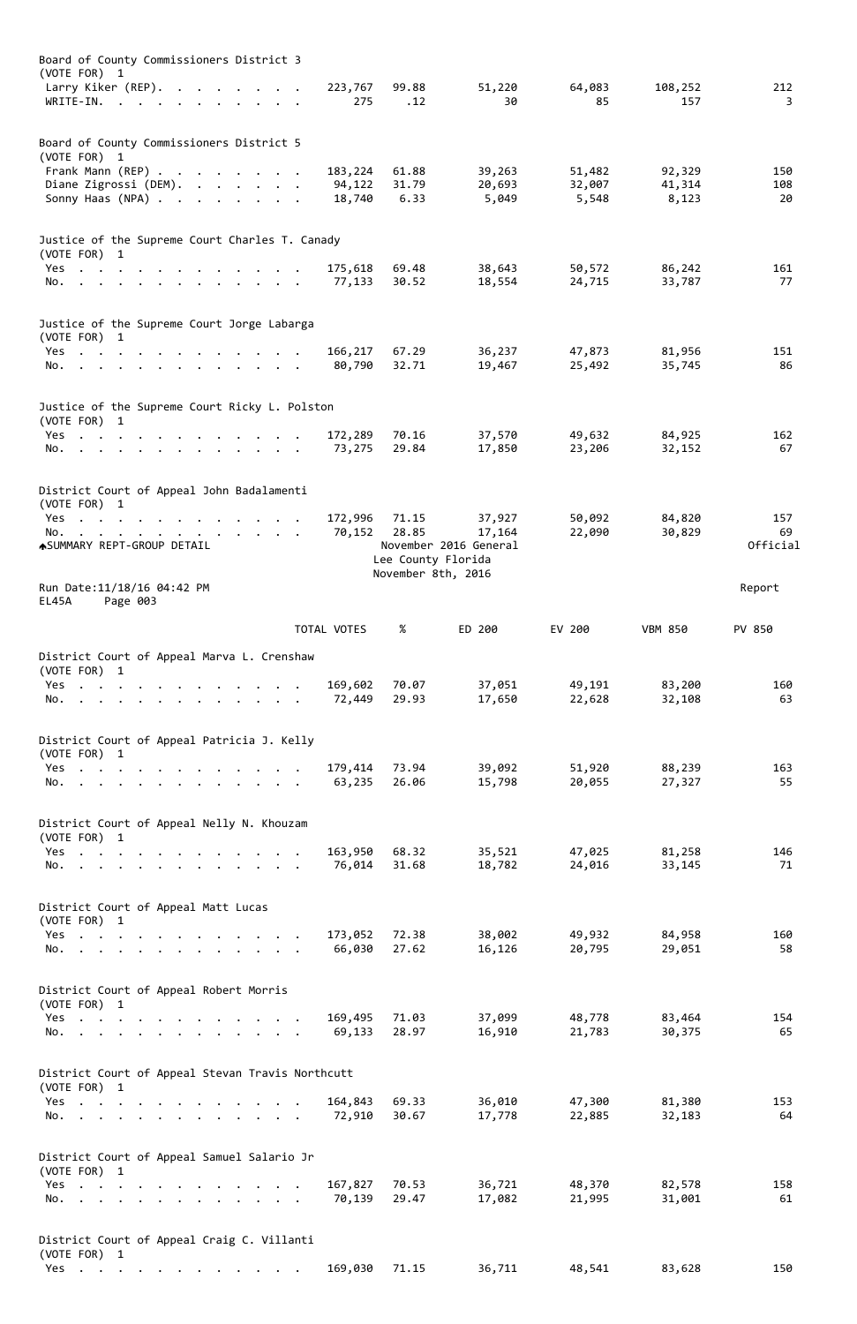| Board of County Commissioners District 3<br>(VOTE FOR) 1                                                                                                                                                                             |                   |                    |                       |                  |                  |                         |
|--------------------------------------------------------------------------------------------------------------------------------------------------------------------------------------------------------------------------------------|-------------------|--------------------|-----------------------|------------------|------------------|-------------------------|
| Larry Kiker (REP).                                                                                                                                                                                                                   | 223,767           | 99.88              | 51,220                | 64,083           | 108,252          | 212                     |
| WRITE-IN.                                                                                                                                                                                                                            | 275               | .12                | 30                    | 85               | 157              | $\overline{\mathbf{3}}$ |
|                                                                                                                                                                                                                                      |                   |                    |                       |                  |                  |                         |
|                                                                                                                                                                                                                                      |                   |                    |                       |                  |                  |                         |
| Board of County Commissioners District 5                                                                                                                                                                                             |                   |                    |                       |                  |                  |                         |
| (VOTE FOR) 1                                                                                                                                                                                                                         |                   |                    |                       |                  |                  | 150                     |
| Frank Mann (REP)<br>Diane Zigrossi (DEM).                                                                                                                                                                                            | 183,224<br>94,122 | 61.88<br>31.79     | 39,263<br>20,693      | 51,482<br>32,007 | 92,329<br>41,314 | 108                     |
| Sonny Haas (NPA)                                                                                                                                                                                                                     | 18,740            | 6.33               | 5,049                 | 5,548            | 8,123            | 20                      |
|                                                                                                                                                                                                                                      |                   |                    |                       |                  |                  |                         |
|                                                                                                                                                                                                                                      |                   |                    |                       |                  |                  |                         |
| Justice of the Supreme Court Charles T. Canady<br>(VOTE FOR) 1                                                                                                                                                                       |                   |                    |                       |                  |                  |                         |
| Yes                                                                                                                                                                                                                                  | 175,618           | 69.48              | 38,643                | 50,572           | 86,242           | 161                     |
| No.                                                                                                                                                                                                                                  | 77,133            | 30.52              | 18,554                | 24,715           | 33,787           | 77                      |
|                                                                                                                                                                                                                                      |                   |                    |                       |                  |                  |                         |
| Justice of the Supreme Court Jorge Labarga                                                                                                                                                                                           |                   |                    |                       |                  |                  |                         |
| (VOTE FOR) 1                                                                                                                                                                                                                         |                   |                    |                       |                  |                  |                         |
| Yes                                                                                                                                                                                                                                  | 166,217           | 67.29              | 36,237                | 47,873           | 81,956           | 151                     |
| No.<br>. The contract of the contract of the contract of the contract of the contract of the contract of the contract of the contract of the contract of the contract of the contract of the contract of the contract of the contrac | 80,790            | 32.71              | 19,467                | 25,492           | 35,745           | 86                      |
|                                                                                                                                                                                                                                      |                   |                    |                       |                  |                  |                         |
| Justice of the Supreme Court Ricky L. Polston<br>(VOTE FOR) 1                                                                                                                                                                        |                   |                    |                       |                  |                  |                         |
| Yes                                                                                                                                                                                                                                  | 172,289 70.16     |                    | 37,570                | 49,632           | 84,925           | 162                     |
| No.                                                                                                                                                                                                                                  | 73,275            | 29.84              | 17,850                | 23,206           | 32,152           | 67                      |
|                                                                                                                                                                                                                                      |                   |                    |                       |                  |                  |                         |
| District Court of Appeal John Badalamenti<br>(VOTE FOR) 1<br>Yes                                                                                                                                                                     | 172,996           | 71.15              | 37,927                | 50,092           | 84,820           | 157                     |
| No.                                                                                                                                                                                                                                  | 70,152            | 28.85              | 17,164                | 22,090           | 30,829           | 69                      |
| <b>ASUMMARY REPT-GROUP DETAIL</b>                                                                                                                                                                                                    |                   |                    | November 2016 General |                  |                  | Official                |
|                                                                                                                                                                                                                                      |                   | Lee County Florida |                       |                  |                  |                         |
|                                                                                                                                                                                                                                      |                   | November 8th, 2016 |                       |                  |                  |                         |
| Run Date: 11/18/16 04:42 PM                                                                                                                                                                                                          |                   |                    |                       |                  |                  | Report                  |
| Page 003<br>EL45A                                                                                                                                                                                                                    |                   |                    |                       |                  |                  |                         |
|                                                                                                                                                                                                                                      | TOTAL VOTES       | %                  | ED 200                | EV 200           | <b>VBM 850</b>   | PV 850                  |
|                                                                                                                                                                                                                                      |                   |                    |                       |                  |                  |                         |
| District Court of Appeal Marva L. Crenshaw<br>(VOTE FOR) 1                                                                                                                                                                           |                   |                    |                       |                  |                  |                         |
| Yes                                                                                                                                                                                                                                  | 169,602           | 70.07              | 37,051                | 49,191           | 83,200           | 160                     |
| No.                                                                                                                                                                                                                                  | 72,449            | 29.93              | 17,650                | 22,628           | 32,108           | 63                      |
|                                                                                                                                                                                                                                      |                   |                    |                       |                  |                  |                         |
| District Court of Appeal Patricia J. Kelly<br>(VOTE FOR) 1                                                                                                                                                                           |                   |                    |                       |                  |                  |                         |
| Yes                                                                                                                                                                                                                                  | 179,414 73.94     |                    | 39,092                | 51,920           | 88,239           | 163                     |
| No.                                                                                                                                                                                                                                  | 63,235            | 26.06              | 15,798                | 20,055           | 27,327           | 55                      |
|                                                                                                                                                                                                                                      |                   |                    |                       |                  |                  |                         |
| District Court of Appeal Nelly N. Khouzam                                                                                                                                                                                            |                   |                    |                       |                  |                  |                         |
| (VOTE FOR) 1                                                                                                                                                                                                                         |                   |                    |                       |                  |                  |                         |
| Yes                                                                                                                                                                                                                                  | 163,950           | 68.32              | 35,521                | 47,025           | 81,258           | 146                     |
| No.<br>. The contract of the contract of the contract of the contract of the contract of the contract of the contract of the contract of the contract of the contract of the contract of the contract of the contract of the contrac | 76,014            | 31.68              | 18,782                | 24,016           | 33,145           | 71                      |
| District Court of Appeal Matt Lucas                                                                                                                                                                                                  |                   |                    |                       |                  |                  |                         |
| (VOTE FOR) 1                                                                                                                                                                                                                         |                   |                    |                       |                  |                  |                         |
|                                                                                                                                                                                                                                      |                   |                    |                       |                  |                  |                         |
| Yes<br>$\mathcal{A}=\mathcal{A}=\mathcal{A}=\mathcal{A}=\mathcal{A}=\mathcal{A}$                                                                                                                                                     | 173,052           | 72.38              | 38,002                | 49,932           | 84,958           | 160                     |
| No.<br>. The contract of the contract of the contract of the contract of the contract of the contract of the contract of the contract of the contract of the contract of the contract of the contract of the contract of the contrac | 66,030            | 27.62              | 16,126                | 20,795           | 29,051           | 58                      |

| District Court of Appeal Robert Morris     |  |  |  |  |  |  |                                                  |       |        |        |        |     |
|--------------------------------------------|--|--|--|--|--|--|--------------------------------------------------|-------|--------|--------|--------|-----|
| (VOTE FOR) 1                               |  |  |  |  |  |  |                                                  |       |        |        |        |     |
| Yes.                                       |  |  |  |  |  |  | 169,495                                          | 71.03 | 37,099 | 48,778 | 83,464 | 154 |
| No.                                        |  |  |  |  |  |  | 69,133                                           | 28.97 | 16,910 | 21,783 | 30,375 | 65  |
|                                            |  |  |  |  |  |  |                                                  |       |        |        |        |     |
|                                            |  |  |  |  |  |  | District Court of Appeal Stevan Travis Northcutt |       |        |        |        |     |
| (VOTE FOR) 1                               |  |  |  |  |  |  |                                                  |       |        |        |        |     |
| Yes.                                       |  |  |  |  |  |  | 164,843                                          | 69.33 | 36,010 | 47,300 | 81,380 | 153 |
| No.                                        |  |  |  |  |  |  | 72,910                                           | 30.67 | 17,778 | 22,885 | 32,183 | 64  |
|                                            |  |  |  |  |  |  |                                                  |       |        |        |        |     |
|                                            |  |  |  |  |  |  |                                                  |       |        |        |        |     |
|                                            |  |  |  |  |  |  |                                                  |       |        |        |        |     |
| District Court of Appeal Samuel Salario Jr |  |  |  |  |  |  |                                                  |       |        |        |        |     |
| (VOTE FOR) 1                               |  |  |  |  |  |  |                                                  |       |        |        |        |     |
| Yes.                                       |  |  |  |  |  |  | 167,827                                          | 70.53 | 36,721 | 48,370 | 82,578 | 158 |
| No.                                        |  |  |  |  |  |  | 70,139                                           | 29.47 | 17,082 | 21,995 | 31,001 | 61  |
|                                            |  |  |  |  |  |  |                                                  |       |        |        |        |     |
|                                            |  |  |  |  |  |  |                                                  |       |        |        |        |     |
| District Court of Appeal Craig C. Villanti |  |  |  |  |  |  |                                                  |       |        |        |        |     |
| (VOTE FOR) 1                               |  |  |  |  |  |  |                                                  |       |        |        |        |     |
|                                            |  |  |  |  |  |  |                                                  |       |        |        |        |     |
| Yes.                                       |  |  |  |  |  |  | 169,030                                          | 71.15 | 36,711 | 48,541 | 83,628 | 150 |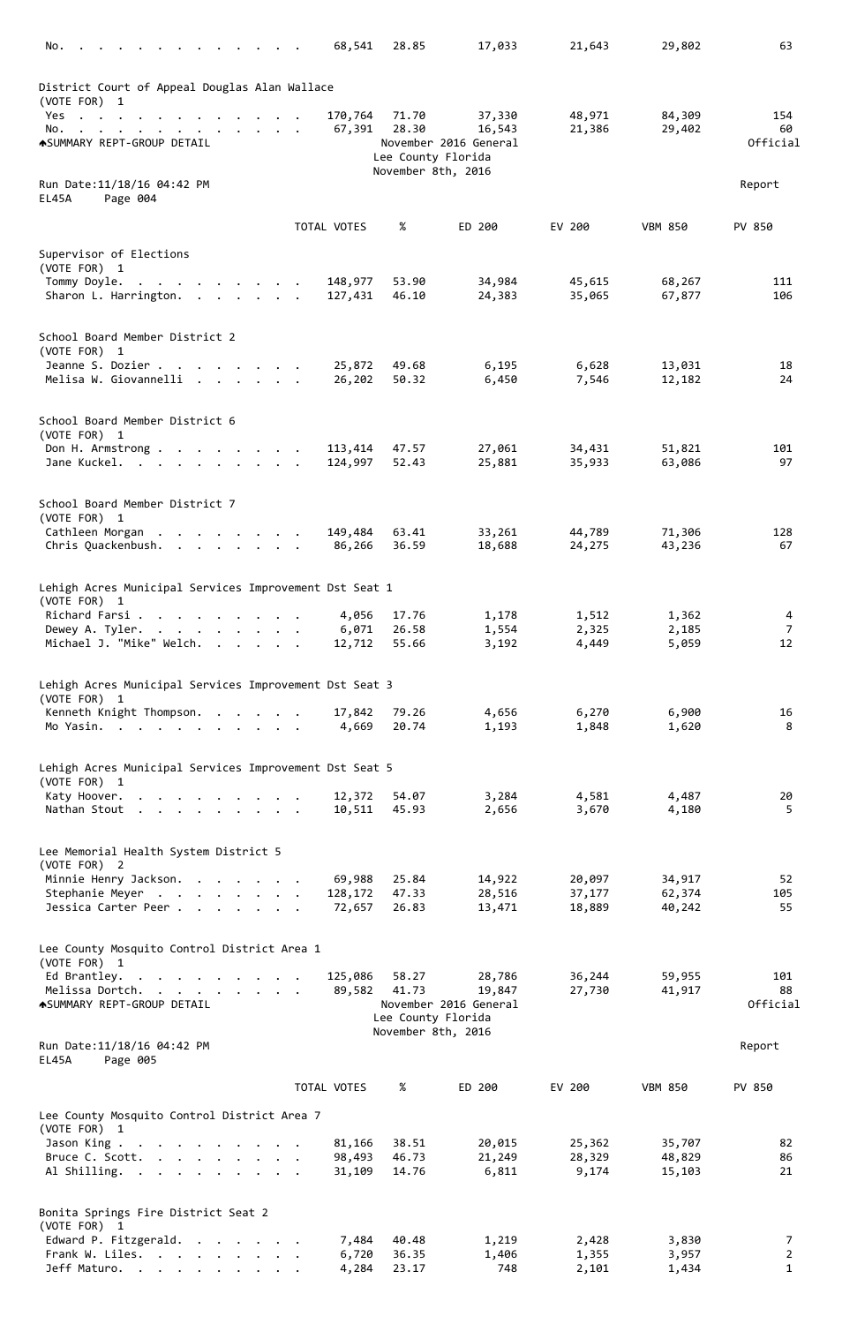| No.                                                                                                                                                                                                                                                         | 68,541             | 28.85              | 17,033                | 21,643           | 29,802           | 63                         |
|-------------------------------------------------------------------------------------------------------------------------------------------------------------------------------------------------------------------------------------------------------------|--------------------|--------------------|-----------------------|------------------|------------------|----------------------------|
|                                                                                                                                                                                                                                                             |                    |                    |                       |                  |                  |                            |
| District Court of Appeal Douglas Alan Wallace<br>(VOTE FOR) 1                                                                                                                                                                                               |                    |                    |                       |                  |                  |                            |
| Yes                                                                                                                                                                                                                                                         | 170,764            | 71.70              | 37,330                | 48,971           | 84,309           | 154                        |
| No.                                                                                                                                                                                                                                                         | 67,391             | 28.30              | 16,543                | 21,386           | 29,402           | 60                         |
| <b>ASUMMARY REPT-GROUP DETAIL</b>                                                                                                                                                                                                                           |                    |                    | November 2016 General |                  |                  | Official                   |
|                                                                                                                                                                                                                                                             |                    | Lee County Florida |                       |                  |                  |                            |
|                                                                                                                                                                                                                                                             |                    | November 8th, 2016 |                       |                  |                  |                            |
| Run Date: 11/18/16 04:42 PM<br><b>EL45A</b><br>Page 004                                                                                                                                                                                                     |                    |                    |                       |                  |                  | Report                     |
|                                                                                                                                                                                                                                                             |                    |                    |                       |                  |                  |                            |
|                                                                                                                                                                                                                                                             | TOTAL VOTES        | %                  | ED 200                | EV 200           | <b>VBM 850</b>   | PV 850                     |
|                                                                                                                                                                                                                                                             |                    |                    |                       |                  |                  |                            |
| Supervisor of Elections                                                                                                                                                                                                                                     |                    |                    |                       |                  |                  |                            |
| (VOTE FOR) 1<br>Tommy Doyle.                                                                                                                                                                                                                                | 148,977            | 53.90              | 34,984                | 45,615           | 68,267           | 111                        |
| $\mathcal{A}$ . The set of the set of the set of the set of the set of the set of the set of the set of the set of the set of the set of the set of the set of the set of the set of the set of the set of the set of the set of t<br>Sharon L. Harrington. | 127,431            | 46.10              | 24,383                | 35,065           | 67,877           | 106                        |
|                                                                                                                                                                                                                                                             |                    |                    |                       |                  |                  |                            |
|                                                                                                                                                                                                                                                             |                    |                    |                       |                  |                  |                            |
| School Board Member District 2                                                                                                                                                                                                                              |                    |                    |                       |                  |                  |                            |
| (VOTE FOR) 1<br>Jeanne S. Dozier                                                                                                                                                                                                                            | 25,872             | 49.68              | 6,195                 | 6,628            | 13,031           | 18                         |
| Melisa W. Giovannelli                                                                                                                                                                                                                                       | 26,202             | 50.32              | 6,450                 | 7,546            | 12,182           | 24                         |
|                                                                                                                                                                                                                                                             |                    |                    |                       |                  |                  |                            |
|                                                                                                                                                                                                                                                             |                    |                    |                       |                  |                  |                            |
| School Board Member District 6                                                                                                                                                                                                                              |                    |                    |                       |                  |                  |                            |
| (VOTE FOR) 1                                                                                                                                                                                                                                                |                    |                    |                       |                  |                  |                            |
| Don H. Armstrong<br>Jane Kuckel.                                                                                                                                                                                                                            | 113,414<br>124,997 | 47.57<br>52.43     | 27,061<br>25,881      | 34,431<br>35,933 | 51,821<br>63,086 | 101<br>97                  |
|                                                                                                                                                                                                                                                             |                    |                    |                       |                  |                  |                            |
|                                                                                                                                                                                                                                                             |                    |                    |                       |                  |                  |                            |
| School Board Member District 7                                                                                                                                                                                                                              |                    |                    |                       |                  |                  |                            |
| (VOTE FOR) 1                                                                                                                                                                                                                                                |                    |                    |                       |                  |                  |                            |
| Cathleen Morgan<br>Chris Quackenbush.                                                                                                                                                                                                                       | 149,484<br>86,266  | 63.41<br>36.59     | 33,261<br>18,688      | 44,789<br>24,275 | 71,306<br>43,236 | 128<br>67                  |
|                                                                                                                                                                                                                                                             |                    |                    |                       |                  |                  |                            |
|                                                                                                                                                                                                                                                             |                    |                    |                       |                  |                  |                            |
| Lehigh Acres Municipal Services Improvement Dst Seat 1                                                                                                                                                                                                      |                    |                    |                       |                  |                  |                            |
| (VOTE FOR) 1                                                                                                                                                                                                                                                |                    |                    |                       |                  |                  |                            |
| Richard Farsi                                                                                                                                                                                                                                               | 4,056              | 17.76<br>26.58     | 1,178                 | 1,512            | 1,362            | 4<br>$\overline{7}$        |
| Dewey A. Tyler.<br>Michael J. "Mike" Welch.                                                                                                                                                                                                                 | 6,071<br>12,712    | 55.66              | 1,554<br>3,192        | 2,325<br>4,449   | 2,185<br>5,059   | 12                         |
|                                                                                                                                                                                                                                                             |                    |                    |                       |                  |                  |                            |
|                                                                                                                                                                                                                                                             |                    |                    |                       |                  |                  |                            |
| Lehigh Acres Municipal Services Improvement Dst Seat 3                                                                                                                                                                                                      |                    |                    |                       |                  |                  |                            |
| (VOTE FOR) 1                                                                                                                                                                                                                                                |                    |                    |                       |                  |                  |                            |
| Kenneth Knight Thompson.<br>Mo Yasin.                                                                                                                                                                                                                       | 17,842<br>4,669    | 79.26<br>20.74     | 4,656<br>1,193        | 6,270<br>1,848   | 6,900<br>1,620   | 16<br>8                    |
|                                                                                                                                                                                                                                                             |                    |                    |                       |                  |                  |                            |
|                                                                                                                                                                                                                                                             |                    |                    |                       |                  |                  |                            |
| Lehigh Acres Municipal Services Improvement Dst Seat 5                                                                                                                                                                                                      |                    |                    |                       |                  |                  |                            |
| (VOTE FOR) 1                                                                                                                                                                                                                                                |                    |                    |                       |                  |                  |                            |
| Katy Hoover.<br>Nathan Stout                                                                                                                                                                                                                                | 12,372<br>10,511   | 54.07<br>45.93     | 3,284<br>2,656        | 4,581<br>3,670   | 4,487<br>4,180   | 20<br>5                    |
|                                                                                                                                                                                                                                                             |                    |                    |                       |                  |                  |                            |
|                                                                                                                                                                                                                                                             |                    |                    |                       |                  |                  |                            |
| Lee Memorial Health System District 5                                                                                                                                                                                                                       |                    |                    |                       |                  |                  |                            |
| (VOTE FOR) 2                                                                                                                                                                                                                                                |                    |                    |                       |                  |                  |                            |
| Minnie Henry Jackson.                                                                                                                                                                                                                                       | 69,988             | 25.84              | 14,922                | 20,097           | 34,917           | 52                         |
| Stephanie Meyer<br>Jessica Carter Peer                                                                                                                                                                                                                      | 128,172<br>72,657  | 47.33<br>26.83     | 28,516<br>13,471      | 37,177<br>18,889 | 62,374<br>40,242 | 105<br>55                  |
|                                                                                                                                                                                                                                                             |                    |                    |                       |                  |                  |                            |
|                                                                                                                                                                                                                                                             |                    |                    |                       |                  |                  |                            |
| Lee County Mosquito Control District Area 1                                                                                                                                                                                                                 |                    |                    |                       |                  |                  |                            |
| (VOTE FOR) 1                                                                                                                                                                                                                                                |                    |                    |                       |                  |                  |                            |
| Ed Brantley.                                                                                                                                                                                                                                                | 125,086<br>89,582  | 58.27<br>41.73     | 28,786<br>19,847      | 36,244<br>27,730 | 59,955<br>41,917 | 101<br>88                  |
| Melissa Dortch.<br>ASUMMARY REPT-GROUP DETAIL                                                                                                                                                                                                               |                    |                    | November 2016 General |                  |                  | Official                   |
|                                                                                                                                                                                                                                                             |                    | Lee County Florida |                       |                  |                  |                            |
|                                                                                                                                                                                                                                                             |                    | November 8th, 2016 |                       |                  |                  |                            |
| Run Date: 11/18/16 04:42 PM                                                                                                                                                                                                                                 |                    |                    |                       |                  |                  | Report                     |
| <b>EL45A</b><br>Page 005                                                                                                                                                                                                                                    |                    |                    |                       |                  |                  |                            |
|                                                                                                                                                                                                                                                             | TOTAL VOTES        | %                  | ED 200                | EV 200           | <b>VBM 850</b>   | PV 850                     |
|                                                                                                                                                                                                                                                             |                    |                    |                       |                  |                  |                            |
| Lee County Mosquito Control District Area 7                                                                                                                                                                                                                 |                    |                    |                       |                  |                  |                            |
| (VOTE FOR) 1                                                                                                                                                                                                                                                |                    |                    |                       |                  |                  |                            |
| Jason King $\cdots$ $\cdots$ $\cdots$                                                                                                                                                                                                                       | 81,166             | 38.51              | 20,015                | 25,362           | 35,707           | 82                         |
| Bruce C. Scott.<br>Al Shilling.                                                                                                                                                                                                                             | 98,493<br>31,109   | 46.73<br>14.76     | 21,249<br>6,811       | 28,329<br>9,174  | 48,829<br>15,103 | 86<br>21                   |
|                                                                                                                                                                                                                                                             |                    |                    |                       |                  |                  |                            |
|                                                                                                                                                                                                                                                             |                    |                    |                       |                  |                  |                            |
| Bonita Springs Fire District Seat 2                                                                                                                                                                                                                         |                    |                    |                       |                  |                  |                            |
| (VOTE FOR) 1                                                                                                                                                                                                                                                |                    |                    |                       |                  |                  |                            |
| Edward P. Fitzgerald.<br>Frank W. Liles.                                                                                                                                                                                                                    | 7,484              | 40.48              | 1,219                 | 2,428            | 3,830            | 7                          |
| Jeff Maturo.                                                                                                                                                                                                                                                | 6,720<br>4,284     | 36.35<br>23.17     | 1,406<br>748          | 1,355<br>2,101   | 3,957<br>1,434   | $\sqrt{2}$<br>$\mathbf{1}$ |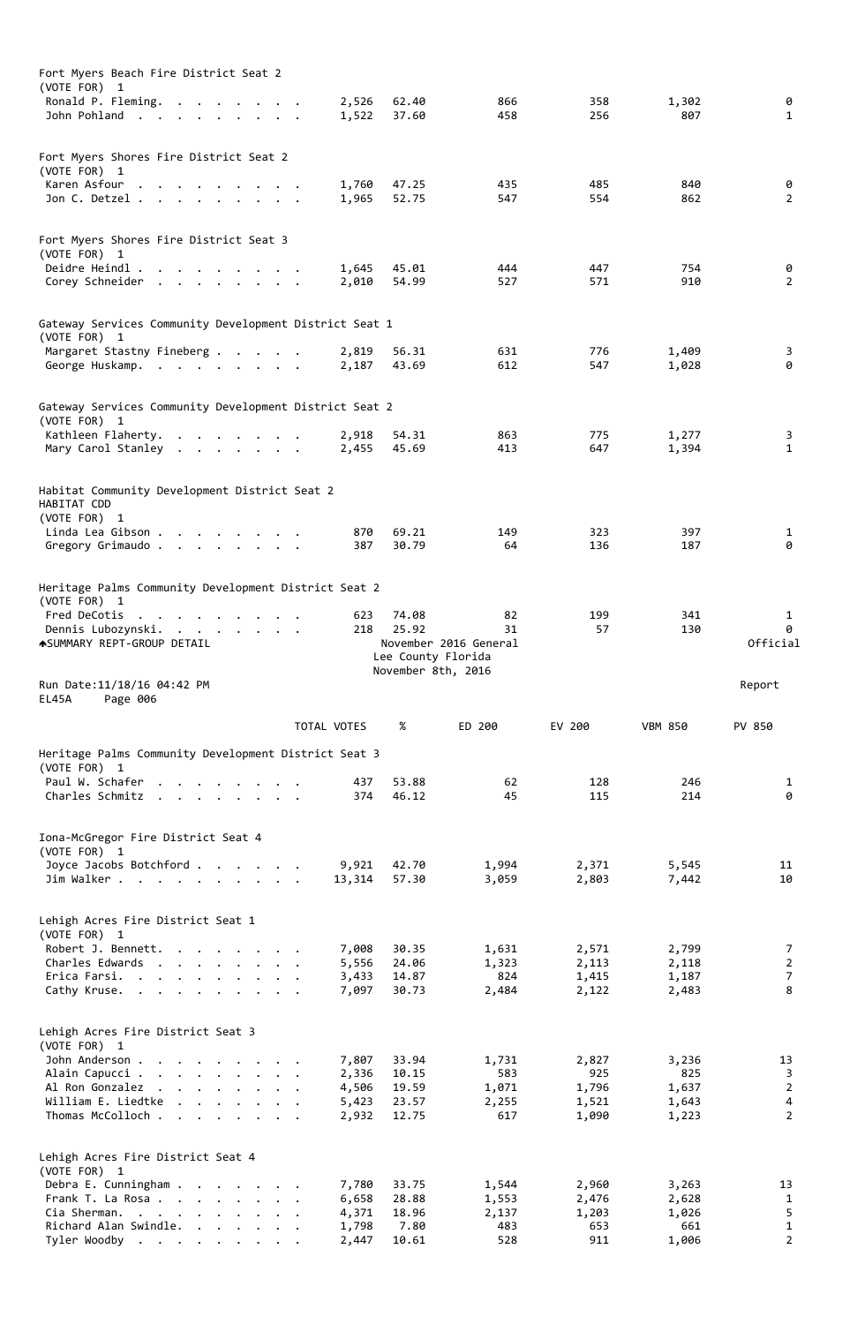| Fort Myers Beach Fire District Seat 2                                                                                           |                                 |                |                                          |                             |                |                |                                           |
|---------------------------------------------------------------------------------------------------------------------------------|---------------------------------|----------------|------------------------------------------|-----------------------------|----------------|----------------|-------------------------------------------|
| (VOTE FOR) 1<br>Ronald P. Fleming.<br>John Pohland                                                                              |                                 | 2,526<br>1,522 | 62.40<br>37.60                           | 866<br>458                  | 358<br>256     | 1,302<br>807   | 0<br>$\mathbf{1}$                         |
| Fort Myers Shores Fire District Seat 2<br>(VOTE FOR) 1                                                                          |                                 |                |                                          |                             |                |                |                                           |
| Karen Asfour                                                                                                                    |                                 | 1,760          | 47.25                                    | 435                         | 485            | 840            | 0                                         |
| Jon C. Detzel                                                                                                                   |                                 | 1,965          | 52.75                                    | 547                         | 554            | 862            | $\overline{2}$                            |
| Fort Myers Shores Fire District Seat 3<br>(VOTE FOR) 1                                                                          |                                 |                |                                          |                             |                |                |                                           |
| Deidre Heindl                                                                                                                   |                                 | 1,645          | 45.01                                    | 444                         | 447            | 754            | 0                                         |
| Corey Schneider                                                                                                                 |                                 | 2,010          | 54.99                                    | 527                         | 571            | 910            | $\overline{2}$                            |
| Gateway Services Community Development District Seat 1                                                                          |                                 |                |                                          |                             |                |                |                                           |
| (VOTE FOR) 1<br>Margaret Stastny Fineberg                                                                                       |                                 | 2,819          | 56.31                                    | 631                         | 776            | 1,409          | 3                                         |
| George Huskamp.                                                                                                                 |                                 | 2,187          | 43.69                                    | 612                         | 547            | 1,028          | 0                                         |
| Gateway Services Community Development District Seat 2                                                                          |                                 |                |                                          |                             |                |                |                                           |
| (VOTE FOR) 1                                                                                                                    |                                 |                |                                          |                             |                |                |                                           |
| Kathleen Flaherty.                                                                                                              |                                 | 2,918          | 54.31                                    | 863                         | 775            | 1,277          | 3                                         |
| Mary Carol Stanley                                                                                                              |                                 | 2,455          | 45.69                                    | 413                         | 647            | 1,394          | $\mathbf{1}$                              |
| Habitat Community Development District Seat 2<br>HABITAT CDD                                                                    |                                 |                |                                          |                             |                |                |                                           |
| (VOTE FOR) 1<br>Linda Lea Gibson                                                                                                |                                 | 870            | 69.21                                    | 149                         | 323            | 397            | $\mathbf{1}$                              |
| Gregory Grimaudo                                                                                                                |                                 | 387            | 30.79                                    | 64                          | 136            | 187            | 0                                         |
| Heritage Palms Community Development District Seat 2<br>(VOTE FOR) 1                                                            |                                 |                |                                          |                             |                |                |                                           |
| Fred DeCotis                                                                                                                    |                                 | 623            | 74.08                                    | 82                          | 199            | 341            | $\mathbf{1}$                              |
| Dennis Lubozynski.<br><b>ASUMMARY REPT-GROUP DETAIL</b>                                                                         |                                 | 218            | 25.92                                    | 31<br>November 2016 General | 57             | 130            | ø<br>Official                             |
| Run Date: 11/18/16 04:42 PM                                                                                                     |                                 |                | Lee County Florida<br>November 8th, 2016 |                             |                |                | Report                                    |
| EL45A<br>Page 006                                                                                                               |                                 |                |                                          |                             |                |                |                                           |
|                                                                                                                                 |                                 | TOTAL VOTES    | $\%$                                     | ED 200                      | EV 200         | <b>VBM 850</b> | PV 850                                    |
| Heritage Palms Community Development District Seat 3<br>(VOTE FOR) 1                                                            |                                 |                |                                          |                             |                |                |                                           |
| Paul W. Schafer<br>Charles Schmitz                                                                                              |                                 | 437<br>374     | 53.88<br>46.12                           | 62<br>45                    | 128<br>115     | 246<br>214     | $\mathbf{1}$<br>0                         |
| Iona-McGregor Fire District Seat 4                                                                                              |                                 |                |                                          |                             |                |                |                                           |
| (VOTE FOR) 1<br>Joyce Jacobs Botchford                                                                                          |                                 | 9,921 42.70    |                                          | 1,994                       | 2,371          | 5,545          | 11                                        |
| Jim Walker                                                                                                                      |                                 | 13,314         | 57.30                                    | 3,059                       | 2,803          | 7,442          | 10                                        |
| Lehigh Acres Fire District Seat 1                                                                                               |                                 |                |                                          |                             |                |                |                                           |
| (VOTE FOR) 1                                                                                                                    |                                 |                |                                          |                             |                |                |                                           |
| Robert J. Bennett.                                                                                                              |                                 | 7,008          | 30.35                                    | 1,631                       | 2,571          | 2,799          | $\overline{z}$                            |
| Charles Edwards<br>Erica Farsi.                                                                                                 |                                 | 5,556          | 24.06<br>3,433 14.87                     | 1,323<br>824                | 2,113<br>1,415 | 2,118<br>1,187 | $\overline{2}$<br>$\overline{7}$          |
| Cathy Kruse.                                                                                                                    |                                 | 7,097          | 30.73                                    | 2,484                       | 2,122          | 2,483          | 8                                         |
| Lehigh Acres Fire District Seat 3<br>(VOTE FOR) 1                                                                               |                                 |                |                                          |                             |                |                |                                           |
| John Anderson .                                                                                                                 |                                 | 7,807          | 33.94                                    | 1,731                       | 2,827          | 3,236          | 13                                        |
| Alain Capucci.<br>$\cdot$ $\cdot$ $\cdot$ $\cdot$ $\cdot$ $\cdot$ $\cdot$<br>Al Ron Gonzalez<br>$\cdot$<br>$\ddot{\phantom{a}}$ |                                 | 2,336<br>4,506 | 10.15<br>19.59                           | 583<br>1,071                | 925<br>1,796   | 825<br>1,637   | $\overline{\mathbf{3}}$<br>$\overline{2}$ |
| William E. Liedtke<br>$\sim$<br>$\sim$                                                                                          | $\cdot$ $\cdot$ $\cdot$ $\cdot$ | 5,423          | 23.57                                    | 2,255                       | 1,521          | 1,643          | $\overline{\mathbf{4}}$                   |
| Thomas McColloch<br>$\sim$                                                                                                      |                                 | 2,932          | 12.75                                    | 617                         | 1,090          | 1,223          | $\overline{2}$                            |
| Lehigh Acres Fire District Seat 4<br>(VOTE FOR) 1                                                                               |                                 |                |                                          |                             |                |                |                                           |
| Debra E. Cunningham                                                                                                             |                                 | 7,780          | 33.75                                    | 1,544                       | 2,960          | 3,263          | 13                                        |
| Frank T. La Rosa<br>Cia Sherman.                                                                                                |                                 | 6,658<br>4,371 | 28.88<br>18.96                           | 1,553<br>2,137              | 2,476<br>1,203 | 2,628<br>1,026 | $\mathbf{1}$<br>5                         |
|                                                                                                                                 |                                 |                |                                          |                             |                |                |                                           |
| Richard Alan Swindle.<br>Tyler Woodby                                                                                           |                                 | 1,798<br>2,447 | 7.80<br>10.61                            | 483<br>528                  | 653<br>911     | 661<br>1,006   | $\mathbf{1}$<br>$\overline{2}$            |